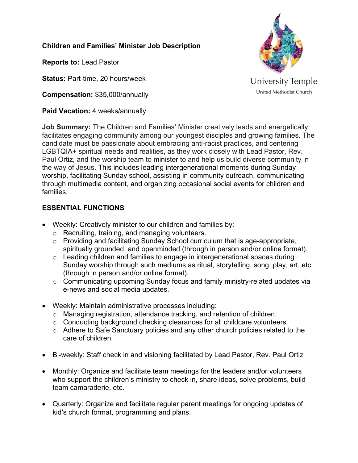## **Children and Families' Minister Job Description**

**Reports to:** Lead Pastor

**Status: Part-time, 20 hours/week** 

**Compensation:** \$35,000/annually

**Paid Vacation:** 4 weeks/annually



**Job Summary:** The Children and Families' Minister creatively leads and energetically facilitates engaging community among our youngest disciples and growing families. The candidate must be passionate about embracing anti-racist practices, and centering LGBTQIA+ spiritual needs and realities, as they work closely with Lead Pastor, Rev. Paul Ortiz, and the worship team to minister to and help us build diverse community in the way of Jesus. This includes leading intergenerational moments during Sunday worship, facilitating Sunday school, assisting in community outreach, communicating through multimedia content, and organizing occasional social events for children and families.

## **ESSENTIAL FUNCTIONS**

- Weekly: Creatively minister to our children and families by:
	- o Recruiting, training, and managing volunteers.
	- o Providing and facilitating Sunday School curriculum that is age-appropriate, spiritually grounded, and openminded (through in person and/or online format).
	- o Leading children and families to engage in intergenerational spaces during Sunday worship through such mediums as ritual, storytelling, song, play, art, etc. (through in person and/or online format).
	- o Communicating upcoming Sunday focus and family ministry-related updates via e-news and social media updates.
- Weekly: Maintain administrative processes including:
	- o Managing registration, attendance tracking, and retention of children.
	- o Conducting background checking clearances for all childcare volunteers.
	- o Adhere to Safe Sanctuary policies and any other church policies related to the care of children.
- Bi-weekly: Staff check in and visioning facilitated by Lead Pastor, Rev. Paul Ortiz
- Monthly: Organize and facilitate team meetings for the leaders and/or volunteers who support the children's ministry to check in, share ideas, solve problems, build team camaraderie, etc.
- Quarterly: Organize and facilitate regular parent meetings for ongoing updates of kid's church format, programming and plans.